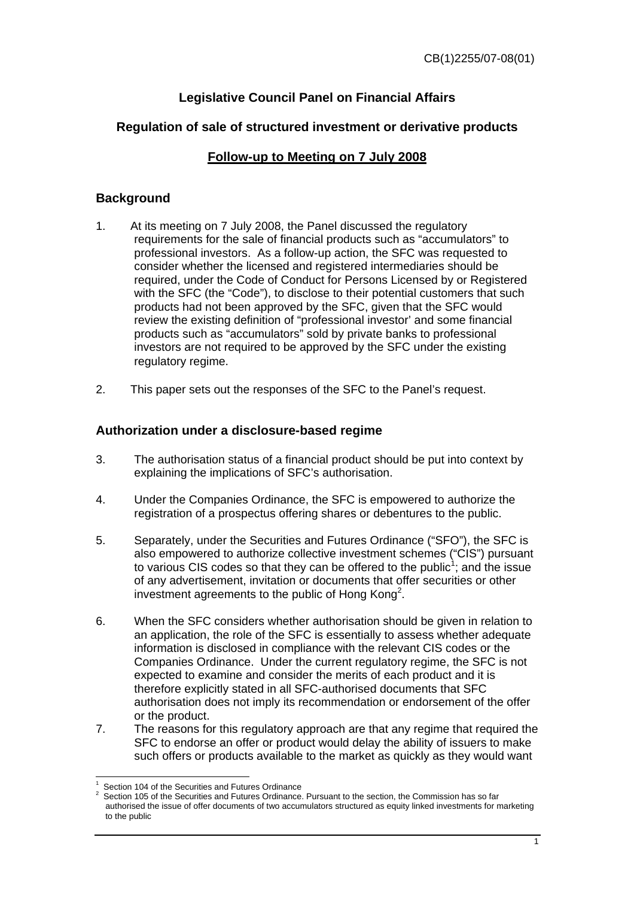# **Legislative Council Panel on Financial Affairs**

## **Regulation of sale of structured investment or derivative products**

## **Follow-up to Meeting on 7 July 2008**

### **Background**

- 1. At its meeting on 7 July 2008, the Panel discussed the regulatory requirements for the sale of financial products such as "accumulators" to professional investors. As a follow-up action, the SFC was requested to consider whether the licensed and registered intermediaries should be required, under the Code of Conduct for Persons Licensed by or Registered with the SFC (the "Code"), to disclose to their potential customers that such products had not been approved by the SFC, given that the SFC would review the existing definition of "professional investor' and some financial products such as "accumulators" sold by private banks to professional investors are not required to be approved by the SFC under the existing regulatory regime.
- 2. This paper sets out the responses of the SFC to the Panel's request.

#### **Authorization under a disclosure-based regime**

- 3. The authorisation status of a financial product should be put into context by explaining the implications of SFC's authorisation.
- 4. Under the Companies Ordinance, the SFC is empowered to authorize the registration of a prospectus offering shares or debentures to the public.
- 5. Separately, under the Securities and Futures Ordinance ("SFO"), the SFC is also empowered to authorize collective investment schemes ("CIS") pursuant to various CIS codes so that they can be offered to the public<sup>1</sup>; and the issue of any advertisement, invitation or documents that offer securities or other investment agreements to the public of Hong Kong<sup>2</sup>.
- 6. When the SFC considers whether authorisation should be given in relation to an application, the role of the SFC is essentially to assess whether adequate information is disclosed in compliance with the relevant CIS codes or the Companies Ordinance. Under the current regulatory regime, the SFC is not expected to examine and consider the merits of each product and it is therefore explicitly stated in all SFC-authorised documents that SFC authorisation does not imply its recommendation or endorsement of the offer or the product.
- 7. The reasons for this regulatory approach are that any regime that required the SFC to endorse an offer or product would delay the ability of issuers to make such offers or products available to the market as quickly as they would want

 1 Section 104 of the Securities and Futures Ordinance

<sup>2</sup> Section 105 of the Securities and Futures Ordinance. Pursuant to the section, the Commission has so far authorised the issue of offer documents of two accumulators structured as equity linked investments for marketing to the public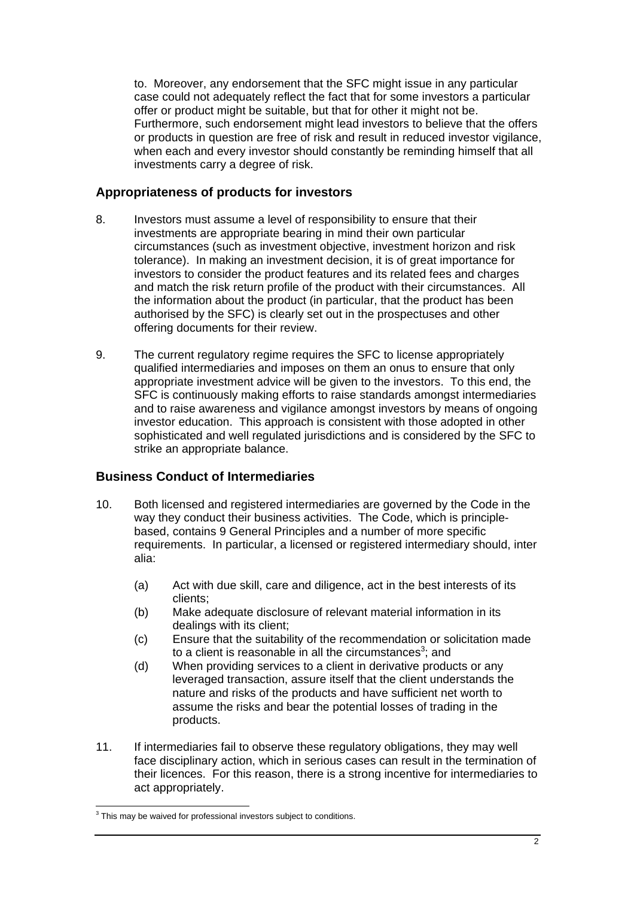to. Moreover, any endorsement that the SFC might issue in any particular case could not adequately reflect the fact that for some investors a particular offer or product might be suitable, but that for other it might not be. Furthermore, such endorsement might lead investors to believe that the offers or products in question are free of risk and result in reduced investor vigilance, when each and every investor should constantly be reminding himself that all investments carry a degree of risk.

#### **Appropriateness of products for investors**

- 8. Investors must assume a level of responsibility to ensure that their investments are appropriate bearing in mind their own particular circumstances (such as investment objective, investment horizon and risk tolerance). In making an investment decision, it is of great importance for investors to consider the product features and its related fees and charges and match the risk return profile of the product with their circumstances. All the information about the product (in particular, that the product has been authorised by the SFC) is clearly set out in the prospectuses and other offering documents for their review.
- 9. The current regulatory regime requires the SFC to license appropriately qualified intermediaries and imposes on them an onus to ensure that only appropriate investment advice will be given to the investors. To this end, the SFC is continuously making efforts to raise standards amongst intermediaries and to raise awareness and vigilance amongst investors by means of ongoing investor education. This approach is consistent with those adopted in other sophisticated and well regulated jurisdictions and is considered by the SFC to strike an appropriate balance.

#### **Business Conduct of Intermediaries**

- 10. Both licensed and registered intermediaries are governed by the Code in the way they conduct their business activities. The Code, which is principlebased, contains 9 General Principles and a number of more specific requirements. In particular, a licensed or registered intermediary should, inter alia:
	- (a) Act with due skill, care and diligence, act in the best interests of its clients;
	- (b) Make adequate disclosure of relevant material information in its dealings with its client;
	- (c) Ensure that the suitability of the recommendation or solicitation made to a client is reasonable in all the circumstances<sup>3</sup>; and
	- (d) When providing services to a client in derivative products or any leveraged transaction, assure itself that the client understands the nature and risks of the products and have sufficient net worth to assume the risks and bear the potential losses of trading in the products.
- 11. If intermediaries fail to observe these regulatory obligations, they may well face disciplinary action, which in serious cases can result in the termination of their licences. For this reason, there is a strong incentive for intermediaries to act appropriately.

<sup>&</sup>lt;sup>3</sup> This may be waived for professional investors subject to conditions.